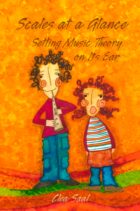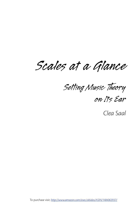Scales at a Glance

Setting Music Theory

on Its Ear

Clea Saal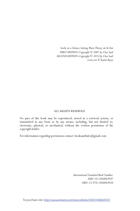*Scales at a Glance, Setting Music Theory on Its Ear FIRST EDITION: Copyright © 2001 by Clea Saal SECOND EDITION: Copyright © 2013 by Clea Saal Cover art © Karla Reyes*

#### ALL RIGHTS RESERVED

No part of this book may be reproduced, stored in a retrieval system, or transmitted in any form or by any means, including, but not limited to, electronic, physical, or mechanical, without the written permission of the copyright holder.

For information regarding permission contact: booksandtales@gmail.com

*International Standard Book Number: ISBN-10:1484063937 ISBN-13: 978-1484063934*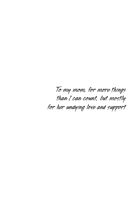*To my mom, for more things than I can count, but mostly for her undying love and support*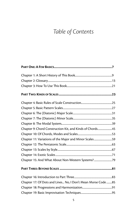# *Table of Contents*

| Chapter 9: Chord Construction Kit, and Kinds of Chords45     |  |
|--------------------------------------------------------------|--|
|                                                              |  |
| Chapter 11: Variations of the Major and Minor Scales 59      |  |
|                                                              |  |
|                                                              |  |
|                                                              |  |
| Chapter 15: And What About Non-Western Systems?79            |  |
|                                                              |  |
|                                                              |  |
| Chapter 17: Of Dots and Lines No, I Don't Mean Morse Code 85 |  |
|                                                              |  |
|                                                              |  |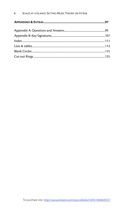#### $6\overline{6}$ SCALES AT A GLANCE: SETTING MUSIC THEORY ON ITS EAR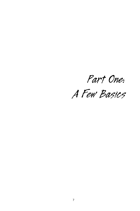<span id="page-6-0"></span>*Part One:*

*A Few Basics*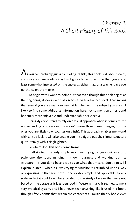## <span id="page-8-0"></span>*Chapter 1: A Short History of is Book*

 ${\bigwedge_{\text{s}}}$  you can probably guess by reading its title, this book is all about scales, and since you are reading this I will go so far as to assume that you are at least somewhat interested on the subject... either that, or a teacher gave you no choice on the matter.

To begin with I want to point out that even though this book begins at the beginning, it does eventually reach a fairly advanced level. That means that even if you are already somewhat familiar with the subject you are still likely to find some additional information here, not to mention a fresh, and hopefully more enjoyable and understandable perspective.

Being dyslexic I tend to rely on a visual approach when it comes to the understanding of scales (and by 'scales' I mean those music thingies, not the ones you are likely to encounter on a fish). This approach enables me —and with a little luck it will also enable you— to figure out their inner structure quite literally with a single glance.

So where does this book come from?

It all started in a fairly simple way: I was trying to figure out an exotic scale one afternoon, minding my own business and working out its structure —if you don't have a clue as to what that means, don't panic, I'll explain it later— when, as I was trying to visualize it, I stumbled upon a way of expressing it that was both unbelievably simple and applicable to any scale, in fact it could even be extended to the study of scales that were not based on the octave as it is understood in Western music. It seemed to me a very practical system, and I had never seen anything like it used in a book, though I freely admit that, within the context of all music theory books ever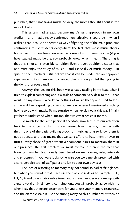published, that is not saying much. Anyway, the more I thought about it, the more I liked it.

This system had already become my *de facto* approach in my own studies —and I had already confirmed how effective it could be— when I realized that it could also serve as a way of fighting one of the main problems confronting music students everywhere: the fact that most music theory books seem to have been conceived as a sort of anti-theory vaccine (if you have studied music before, you probably know what I mean). The thing is that this is not an irreversible condition. Even though tradition dictates that one must enjoy the study of music —and especially of music theory— in spite of one's teachers, I still believe that it can be made into an enjoyable experience. In fact I am even convinced that it is *less* painful than going to the dentist for root canal!

Anyway, the idea for this book was already rattling in my head when I tried to explain something about a scale to someone very dear to me —that would be my mom— who knew nothing of music theory and used to look at me as if I were speaking to her in Chinese whenever I mentioned anything having to do with music. To my surprise, when I explained it this way I finally got her to understand what I meant. That was what sealed it for me.

So much for the lame personal anecdote, now let's turn our attention back to the subject at hand: scales. Seeing how they are, together with rhythm, one of the basic building blocks of music, getting to know them is not optional... and that means that we can't afford to hate them or even to turn a lovely shade of green whenever someone dares to mention them in our presence. The first problem we must overcome then is the fact that learning them has traditionally been based on memorizing rules, intervals and structures (if you were lucky, otherwise you were merely presented with a considerable stack of staff paper and left to your own devices).

The idea of resorting to memory may not sound so bad at first glance, but when you consider that, if we use the diatonic scale as an example (C, D, E, F, G, A and B), with its twelve tones and its seven modes we come up with a grand total of 84 'different' combinations, you will probably agree with me when I say that there are better ways for you to use your memory resources... and the diatonic scale is just one among many, so this number must then be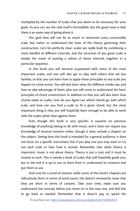multiplied by the number of scales that you deem to be necessary for your goals. As you can see the task itself is formidable, but the good news is that there is an easier way of going about it.

Our goal here will not be so much to memorize every conceivable scale, but rather to understand the basis of the theory governing their construction. Let's be perfectly clear: scales are really built by combining a mere handful of different intervals, and the structure of any given scale is simply the result of putting a subset of those intervals together in a particular sequence.

In this book you will become acquainted with some of the most important scales, and you will also get to play with others that are less familiar, so that you can learn how to apply those principles to any scale you happen to come across. You will also learn what the different modes are, and how to take advantage of them, plus you will come to understand the basic principles of chord construction. In addition to that you will also learn how chords relate to scales, how do you figure out which chords go with which scale, and how can you find a scale to fit a given chord, but the most important thing is that you will hopefully learn enough to be able to work with the scales rather than against them.

Even though this book is very specific, it assumes no previous knowledge of anything having to do with music, and it does not require any knowledge of musical notation either, though it does include a chapter on the subject. Seeing how this book is intended for a general audience, it does not focus on a specific instrument, but if you play one you may want to try out each scale to hear how it sounds. Remember that while theory is important, music is not about theory. Theory is just a tool, and it must be treated as such. This is merely a book of scales that will hopefully guide you, but in the end it is up to you to learn from it, understand its contents and put them to use.

And now for a word of caution: while some of this book's chapters are ridiculously short in terms of word count, this doesn't necessarily mean that they are short in terms of content. Take your time, make sure you understand one concept before you move on to the next one, and feel free to go back as needed. Remember that it doesn't pay to speed the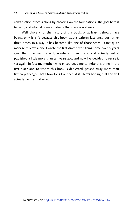construction process along by cheating on the foundations. The goal here is to learn, and when it comes to doing that there is no hurry.

Well, that's it for the history of this book, or at least it should have been... only it isn't because this book wasn't written just once but rather three times. In a way it has become like one of those scabs I can't quite manage to leave alone. I wrote the first draft of this thing some twenty years ago. That one went exactly nowhere. I rewrote it and actually got it published a little more than ten years ago, and now I've decided to revise it yet again. In fact my mother, who encouraged me to write this thing in the first place and to whom this book is dedicated, passed away more than fifteen years ago. That's how long I've been at it. Here's hoping that this will actually be the final version.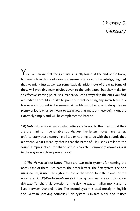## <span id="page-12-0"></span>*Chapter 2: Glossary*

 $\mathbf{Y}_{\mathsf{es},\, \mathsf{I}}$  am aware that the glossary is usually found at the end of the book, but seeing how this book does not assume any previous knowledge, I figured that we might just as well get some basic definitions out of the way. Some of these will probably seem obvious even to the uninitiated, but they make for an effective starting point. As a reader, you can always skip the ones you find redundant. I would also like to point out that defining any given term in a few words is bound to be somewhat problematic because it always leaves plenty of loose ends, so I want to warn you that most of these definitions are extremely simple, and will be complemented later on.

1.0) **Note**- Notes are to music what letters are to words. This means that they are the minimum identifiable sounds. Just like letters, notes have names, unfortunately these names have little or nothing to do with the sounds they represent. What I mean by that is that the name of *F* is just as similar to the sound it represents as the shape of the character commonly known as *A* is to the way in which we pronounce it.

1.1) **The Names of the Notes**- There are two main systems for naming the notes. One of them uses names, the other letters. The first system, the one using names, is used throughout most of the world. In it the names of the notes are *Do(Ut)-Re-Mi-Fa-Sol-La-Ti(Si)*. This system was created by Guido d'Arezzo (for the trivia question of the day, he was an Italian monk and he lived between 990 and 1050). The second system is used mostly in English and German speaking countries. This system is in fact older, and it uses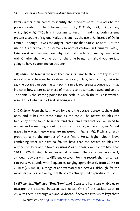letters rather than names to identify the different notes. It relates to the previous system in the following way *C=Do/Ut, D=Re, E=Mi, F=Fa, G=Sol, A=La, B(Ger. H)=Ti/Si*. It is important to keep in mind that both systems present a couple of regional variations, such as the use of *Ut* instead of *Do* in France —though *Ut* was the original name for that particular note— or the use of *H* rather than *B* in Germany (a note of caution, in Germany, B=Bb). Later on it will become clear why is it that the letter-based-system begin with *C* rather than with *A*, but for the time being I am afraid you are just going to have to trust me on this one.

2.0) **Tonic**- The tonic is the note that lends its name to the entire key. It is the note that sets the tone, hence its name. It can, in fact, be any note, that is to say the octave can begin at any point, since it represents a convention that indicates how a particular piece of music is to be written, played and so on. The tonic is the starting point for the scale in which the music is written, regardless of what kind of scale is being used.

2.1) *Octave*- From the Latin word for eight, the octave represents the eighth note, and it has the same name as the tonic. The octave doubles the frequency of the tonic. To understand this I am afraid that you will need to understand something about the nature of sound, so here it goes. Sound travels in waves, these waves are measured in *Hertz (Hz)*. Pitch is directly proportional to the number of Hertz (more Hertz, higher pitch). Now, combining what we have so far, we have that the octave doubles the number of Hertz of the tonic, so, using *A* as our basic example, we have that 110 Hz, 220 Hz, 440 Hz and so on, all represent the sound we know as *A*, although obviously in its different octaves. For the record, the human ear can perceive sounds with frequencies ranging approximately from 20 Hz to 20 kHz (20,000 Hz), a range of approximately ten octaves, although, for the most part, only seven or eight of these are actually used to produce music.

3) *Whole step/Half step (Tone/Semitone)*- Steps and half steps enable us to measure the distance between two notes. One of the easiest ways to visualize them is through a piano keyboard. If between two white keys there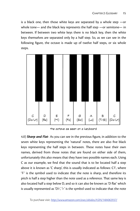is a black one, then those white keys are separated by a whole step —or whole tone— and the black key represents the half step —or semitone— in between. If between two white keys there is no black key, then the white keys themselves are separated only by a half step. So, as we can see in the following figure, the octave is made up of twelve half steps, or six whole steps.



the octave as seen on a keyboard

4.0) *Sharp and Flat*- As you can see in the previous figure, in addition to the seven white keys representing the 'natural' notes, there are also five black keys representing the half steps in between. These notes have their own names, derived from those notes that are found on either side of them, unfortunately this also means that they have two possible names each. Using C as our example, we find that the sound that is to be located half a step above it is known as 'C sharp', this is usually indicated as follows:  $C^{\sharp}$ , where  $'$  is the symbol used to indicate that the note is sharp, and therefore its pitch is half a step higher than the note used as a reference. That same key is also located half a step below D, and so it can also be known as 'D flat' which is usually represented as 'D $\flat'$ , ' $\flat'$  is the symbol used to indicate that the note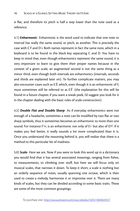is flat, and therefore its pitch is half a step lower than the note used as a reference.

4.1) *Enharmonic*- Enharmonic is the word used to indicate that one note or interval has really the same sound, or pitch, as another. This is precisely the case with C# and D  $\flat$ . Both names represent in fact the same note, which in a keyboard is to be found in the black key separating C and D. You have to keep in mind that, even though enharmonics represent the same sound, it is very important to learn to give them their proper names because in the context of a given scale, an augmented second is not the same thing as a minor third, even though both intervals are enharmonics (intervals, seconds and thirds are explained later on). To further complicate matters, you may also encounter cases such as E $\sharp,$  which, even though it is an enharmonic of F, must sometimes still be referred to as  $E\sharp$  (the explanation for this will be found in a future chapter, if you want a sneak peek, I'd suggest you look for it in the chapter dealing with the basic rules of scale construction).

4.2) *Double Flat and Double Sharp*- As if everyday enharmonics were not enough of a headache, sometimes a note can be modified by two flat or two sharp symbols, thus it sometimes becomes an enharmonic to more than one sound. For instance Fbb. is an enharmonic not only of Eb but also of D#. If it makes you feel better, it really sounds a lot more complicated than it is. Once you understand the reasoning behind it, you will realize that there is a method to this particular bit of madness.

5.0) *Scale*- Here we are. Now if you were to look this word up in a dictionary you would find that it has several associated meanings, ranging from fishes, to measurements, to climbing over stuff, but here we will focus only on musical scales, that narrows it down. To keep it short, a scale is nothing but an orderly sequence of notes, usually spanning one octave, which is then used to create a melody, harmonize it or improvise over it. There are many kinds of scales, but they can be divided according to some basic traits. These are some of the most common groupings: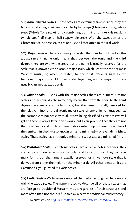5.1) **Basic Pattern Scales**- These scales are extremely simple, since they are built around a single pattern. It can be by half steps (Chromatic scale), whole steps (Whole Tone scale), or by combining both kinds of intervals regularly (whole step/half step, or half step/whole step). With the exception of the Chromatic scale, these scales are not used all that often in the real world.

5.2) **Major Scales**- There are plenty of scales that can be included in this group, since its name only means that, between the tonic and the third degree there are two whole steps, but the name is usually reserved for the scale that is known as the diatonic major scale, which lies at the root of most Western music, or, when so stated, to one of its variants such as the harmonic major scale. All other scales beginning with a major third are usually classified as exotic scales.

5.3) *Minor Scales*- Just as with the major scales there are numerous minor scales since technically the name only means that from the tonic to the third degree there are one and a half steps, but the name is usually reserved for the relative minor of the diatonic major scale, or one of its variants, such as the harmonic minor scale, with all others being classified as exotics (we will get to those relatives later, don't worry, but I can promise that they are not the scale's aunts and uncles). There is also a sub-group of these scales: that of the semi-diminished —also known as half-diminished— or even diminished, scales. These scales have not only a minor third, but also a diminished fifth.

5.4) **Pentatonic Scales**- Pentatonic scales have only five notes, or tones. They are fairly common, especially in popular and Eastern music. They come in many forms, but the name is usually reserved for a five note scale that is derived from either the major or the minor scale. All other pentatonics are classified as, you guessed it, exotic scales.

5.5) *Exotic Scales*- We have encountered them often enough, so here we are with the exotic scales. The name is used to describe all of those scales that are foreign to traditional Western music, regardless of their structure, and more often than not these refuse to play nice with traditional music theory.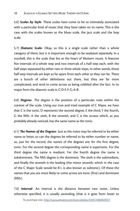5.6) **Scales by Style**- These scales have come to be so intimately associated with a particular kind of music that they have taken on its name. This is the case with the scales known as the blues scale, the jazz scale and the bop scale.

5.7) *Diatonic Scale*- Okay, so this is a single scale rather than a whole category of them, but it is important enough to be analyzed separately. In a nutshell, this is the scale that lies at the heart of Western music. It features five intervals of a whole step and two intervals of a half step each, with the half steps separated by either two or three whole steps. In other words, those half step intervals are kept as far apart from each other as they can be. There are a bunch of other definitions out there, but they are far more complicated, and tend to come across as being cobbled after the fact. In its major form the diatonic scale is: C-D-E-F-G-A-B.

6.0) **Degrees**- The degree is the position of a particular note within the context of the scale. Using our true and tried example of C Major, we have that C is the tonic, D represents the second degree, E the third, F the fourth, G the fifth, A the sixth, B the seventh, and C is the octave which, as you probably already noticed, has the same name as the tonic.

6.1) **The Names of the Degrees**- Just as the notes may be referred to by either name or letter, so can the degrees be referred to by either number or name, so, just for the record, the names of the degrees are: for the first degree, tonic. For the second degree the corresponding name is supertonic. For the third degree the name is mediant. For the fourth degree the name is subdominant. The fifth degree is the dominant. The sixth is the submediant, and finally the seventh is the leading (the minor seventh, which in the case of the C Major Scale would be  $B\flat$ , is also known as subtonic). Of these the names that you are most likely to come across are tonic (first) and dominant (fifth).

7.0) *Interval*- An interval is the distance between two notes. Unless otherwise specified, it is usually ascending (that is it goes from lower to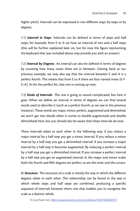higher pitch). Intervals can be expressed in two different ways: by steps or by degrees.

7.1) *Interval in Steps*- Intervals can be defined in terms of steps and half steps, for example, from E to A we have an interval of two and a half steps (this will be further explained later on, but for now the figure representing the keyboard that was included above may provide you with an answer).

7.2) *Interval by Degrees*- An interval can also be defined in terms of degrees by counting how many notes there are in between. Getting back to our previous example, we may also say that the interval between E and A is a perfect fourth. This means that from E to A there are four named notes (E-F-G-A). As for the perfect bit, that one is coming up next.

7.3) **Kinds of Intervals**- This one is going to sound complicated, but here it goes. When we define an interval in terms of degrees we can find several words used to describe it (such as a perfect fourth, as we saw in the previous instance). These words are major, minor, perfect, augmented and diminished, we won't get into details when it comes to double augmenteds and double diminisheds here, but you should also be aware that these intervals *do* exist.

These intervals relate to each other in the following way: if you reduce a major interval by a half step you get a minor interval. If you reduce a minor interval by a half step you get a diminished interval. If you increase a major interval by a half step it becomes augmented. By reducing a perfect interval by a half step you get a diminished interval. If you increase a perfect interval by a half step you get an augmented interval. In the major and minor scales both the fourth and fifth degrees are perfect, as are the tonic and the octave.

8) **Structure**- The structure of a scale is merely the way in which the different degrees relate to each other. This relationship can be found in the way in which whole steps and half steps are combined, producing a specific sequence of intervals between them, one that enables you to recognize the scale as a distinct whole.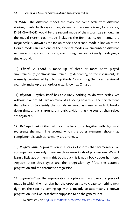9) Mode- The different modes are really the same scale with different starting points. In this system any degree can become a tonic, for instance, D-E-F-G-A-B-C-D would be the second mode of the major scale (though in the modal system each mode, including the first, has its own name, the major scale is known as the Ionian mode, the second mode is known as the Dorian mode). In each one of the different modes we encounter a different sequence of steps and half steps, even though we are not really modifying a single sound.

10) *Chord*- A chord is made up of three or more notes played simultaneously (or almost simultaneously, depending on the instrument). It is usually constructed by piling up thirds. C-E-G, using the most traditional example, make up the chord, or triad, known as C major.

11) *Rhythm*- Rhythm itself has absolutely nothing to do with scales, yet without it we would have no music at all, seeing how this is the first element that allows us to identify the sounds we know as music as such. It breaks down time, and it is around this basic division that the sounds themselves are organized.

12) **Melody**- Think of the melody as the basic tune. Together with rhythm it represents the main line around which the other elements, those that complement it, such as harmony, are arranged.

13) *Progressions*- A progression is a series of chords that harmonizes , or accompanies, a melody. There are three main kinds of progressions. We will learn a little about them in this book, but this is not a book about harmony. Anyway, these three types are: the progression by fifths, the diatonic progression and the chromatic progression.

14) **Improvisation**- The improvisation is a place within a particular piece of music in which the musician has the opportunity to create something new right on the spot by coming up with a melody to accompany a known progression... well, at least that is supposed to be the general idea.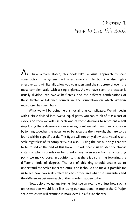### <span id="page-20-0"></span>*Chapter 3: How To Use is Book*

 $\bigwedge_{s}$  I have already stated, this book takes a visual approach to scale construction. The system itself is extremely simple, but it is also highly effective, as it will literally allow you to understand the structure of even the most complex scale with a single glance. As we have seen, the octave is usually divided into twelve half steps, and the different combinations of these twelve well-defined sounds are the foundation on which Western music itself has been built.

What we will be doing here is not all that complicated. We will begin with a circle divided into twelve equal parts, you can think of it as a sort of clock, and then we will use each one of those divisions to represent a half step. Using these divisions as our starting point we will then draw a polygon by joining together the notes, or to be accurate the intervals, that are to be found within a specific scale. This figure will not only allow us to visualize any scale regardless of its complexity, but also —using the cut-out rings that are to be found at the end of this book— it will enable us to identify, almost instantly, which sounds can be found in any given scale from any starting point we may choose. In addition to that there is also a ring featuring the different kinds of degrees. The use of this ring should enable us to understand the scale's inner structure, and it should also make it possible for us to see how two scales relate to each other, and what the similarities and the differences between each of their modes happen to be.

Now, before we go any further, let's see an example of just how such a representation would look like, using our traditional example: the C Major Scale, which we will examine in more detail in a future chapter.